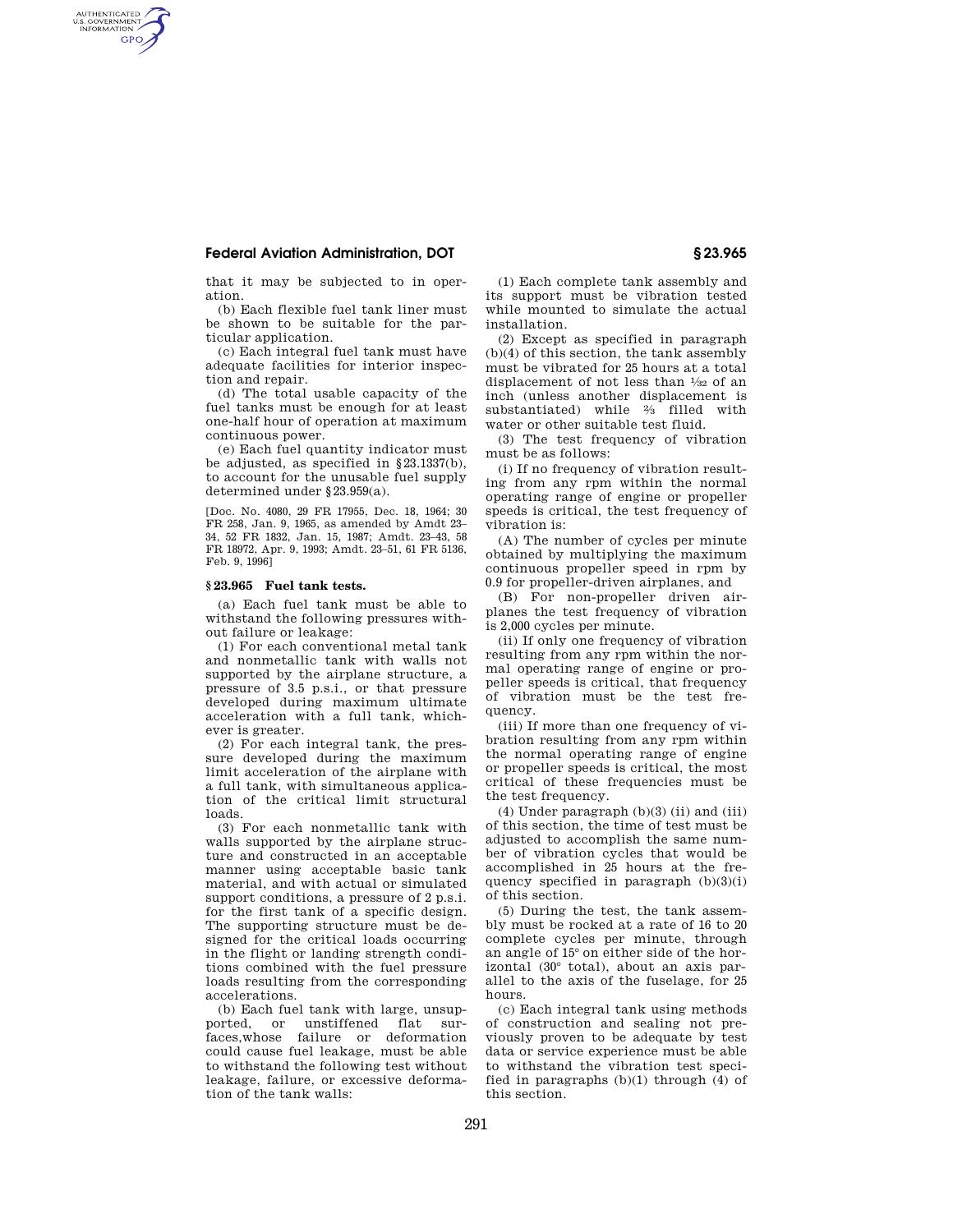# **Federal Aviation Administration, DOT § 23.965**

AUTHENTICATED<br>U.S. GOVERNMENT<br>INFORMATION **GPO** 

> that it may be subjected to in operation.

> (b) Each flexible fuel tank liner must be shown to be suitable for the particular application.

> (c) Each integral fuel tank must have adequate facilities for interior inspection and repair.

> (d) The total usable capacity of the fuel tanks must be enough for at least one-half hour of operation at maximum continuous power.

> (e) Each fuel quantity indicator must be adjusted, as specified in §23.1337(b), to account for the unusable fuel supply determined under §23.959(a).

> [Doc. No. 4080, 29 FR 17955, Dec. 18, 1964; 30 FR 258, Jan. 9, 1965, as amended by Amdt 23– 34, 52 FR 1832, Jan. 15, 1987; Amdt. 23–43, 58 FR 18972, Apr. 9, 1993; Amdt. 23–51, 61 FR 5136, Feb. 9, 1996]

## **§ 23.965 Fuel tank tests.**

(a) Each fuel tank must be able to withstand the following pressures without failure or leakage:

(1) For each conventional metal tank and nonmetallic tank with walls not supported by the airplane structure, a pressure of 3.5 p.s.i., or that pressure developed during maximum ultimate acceleration with a full tank, whichever is greater.

(2) For each integral tank, the pressure developed during the maximum limit acceleration of the airplane with a full tank, with simultaneous application of the critical limit structural loads.

(3) For each nonmetallic tank with walls supported by the airplane structure and constructed in an acceptable manner using acceptable basic tank material, and with actual or simulated support conditions, a pressure of 2 p.s.i. for the first tank of a specific design. The supporting structure must be designed for the critical loads occurring in the flight or landing strength conditions combined with the fuel pressure loads resulting from the corresponding accelerations.

(b) Each fuel tank with large, unsup-<br>ported. or unstiffened flat surunstiffened flat surfaces,whose failure or deformation could cause fuel leakage, must be able to withstand the following test without leakage, failure, or excessive deformation of the tank walls:

(1) Each complete tank assembly and its support must be vibration tested while mounted to simulate the actual installation.

(2) Except as specified in paragraph (b)(4) of this section, the tank assembly must be vibrated for 25 hours at a total displacement of not less than 1⁄32 of an inch (unless another displacement is substantiated) while 2⁄3 filled with water or other suitable test fluid.

(3) The test frequency of vibration must be as follows:

(i) If no frequency of vibration resulting from any rpm within the normal operating range of engine or propeller speeds is critical, the test frequency of vibration is:

(A) The number of cycles per minute obtained by multiplying the maximum continuous propeller speed in rpm by 0.9 for propeller-driven airplanes, and

(B) For non-propeller driven airplanes the test frequency of vibration is 2,000 cycles per minute.

(ii) If only one frequency of vibration resulting from any rpm within the normal operating range of engine or propeller speeds is critical, that frequency of vibration must be the test frequency.

(iii) If more than one frequency of vibration resulting from any rpm within the normal operating range of engine or propeller speeds is critical, the most critical of these frequencies must be the test frequency.

(4) Under paragraph (b)(3) (ii) and (iii) of this section, the time of test must be adjusted to accomplish the same number of vibration cycles that would be accomplished in 25 hours at the frequency specified in paragraph (b)(3)(i) of this section.

(5) During the test, the tank assembly must be rocked at a rate of 16 to 20 complete cycles per minute, through an angle of 15° on either side of the horizontal (30° total), about an axis parallel to the axis of the fuselage, for 25 hours.

(c) Each integral tank using methods of construction and sealing not previously proven to be adequate by test data or service experience must be able to withstand the vibration test specified in paragraphs (b)(1) through (4) of this section.